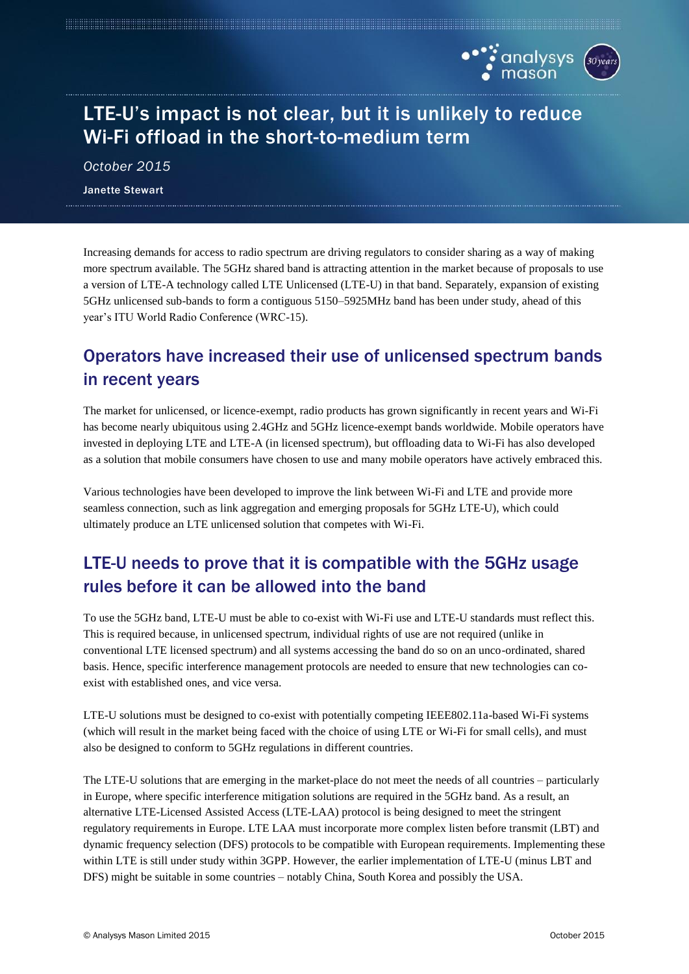

# LTE-U's impact is not clear, but it is unlikely to reduce Wi-Fi offload in the short-to-medium term

*October 2015* Janette Stewart

Increasing demands for access to radio spectrum are driving regulators to consider sharing as a way of making more spectrum available. The 5GHz shared band is attracting attention in the market because of proposals to use a version of LTE-A technology called LTE Unlicensed (LTE-U) in that band. Separately, expansion of existing 5GHz unlicensed sub-bands to form a contiguous 5150–5925MHz band has been under study, ahead of this year's ITU World Radio Conference (WRC-15).

## Operators have increased their use of unlicensed spectrum bands in recent years

The market for unlicensed, or licence-exempt, radio products has grown significantly in recent years and Wi-Fi has become nearly ubiquitous using 2.4GHz and 5GHz licence-exempt bands worldwide. Mobile operators have invested in deploying LTE and LTE-A (in licensed spectrum), but offloading data to Wi-Fi has also developed as a solution that mobile consumers have chosen to use and many mobile operators have actively embraced this.

Various technologies have been developed to improve the link between Wi-Fi and LTE and provide more seamless connection, such as link aggregation and emerging proposals for 5GHz LTE-U), which could ultimately produce an LTE unlicensed solution that competes with Wi-Fi.

# LTE-U needs to prove that it is compatible with the 5GHz usage rules before it can be allowed into the band

To use the 5GHz band, LTE-U must be able to co-exist with Wi-Fi use and LTE-U standards must reflect this. This is required because, in unlicensed spectrum, individual rights of use are not required (unlike in conventional LTE licensed spectrum) and all systems accessing the band do so on an unco-ordinated, shared basis. Hence, specific interference management protocols are needed to ensure that new technologies can coexist with established ones, and vice versa.

LTE-U solutions must be designed to co-exist with potentially competing IEEE802.11a-based Wi-Fi systems (which will result in the market being faced with the choice of using LTE or Wi-Fi for small cells), and must also be designed to conform to 5GHz regulations in different countries.

The LTE-U solutions that are emerging in the market-place do not meet the needs of all countries – particularly in Europe, where specific interference mitigation solutions are required in the 5GHz band. As a result, an alternative LTE-Licensed Assisted Access (LTE-LAA) protocol is being designed to meet the stringent regulatory requirements in Europe. LTE LAA must incorporate more complex listen before transmit (LBT) and dynamic frequency selection (DFS) protocols to be compatible with European requirements. Implementing these within LTE is still under study within 3GPP. However, the earlier implementation of LTE-U (minus LBT and DFS) might be suitable in some countries – notably China, South Korea and possibly the USA.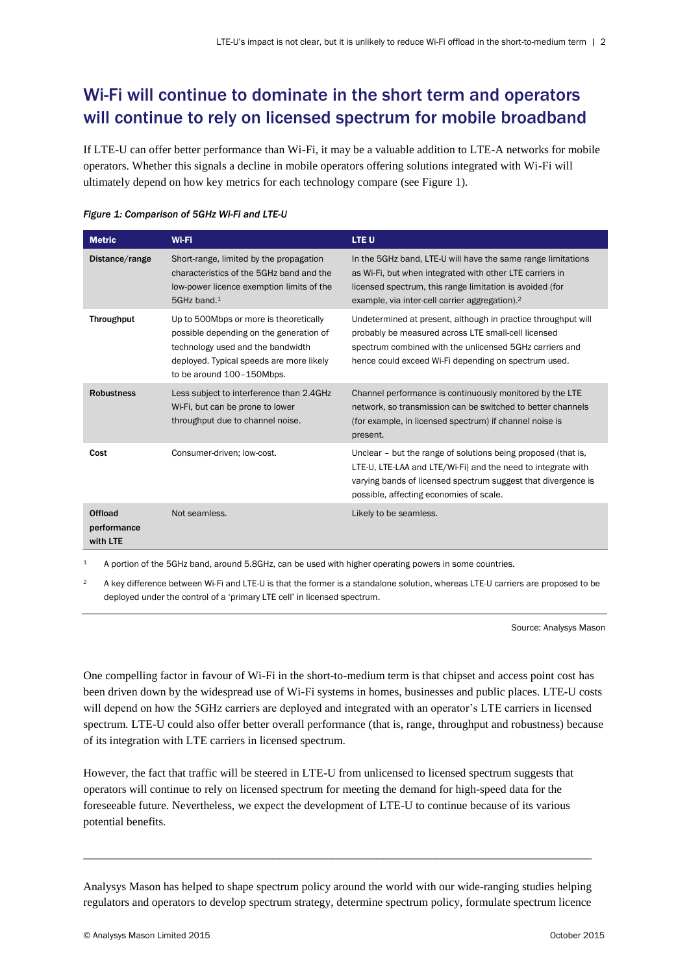## Wi-Fi will continue to dominate in the short term and operators will continue to rely on licensed spectrum for mobile broadband

If LTE-U can offer better performance than Wi-Fi, it may be a valuable addition to LTE-A networks for mobile operators. Whether this signals a decline in mobile operators offering solutions integrated with Wi-Fi will ultimately depend on how key metrics for each technology compare (see Figure 1).

| <b>Metric</b>                      | Wi-Fi                                                                                                                                                                                           | <b>LTEU</b>                                                                                                                                                                                                                                        |
|------------------------------------|-------------------------------------------------------------------------------------------------------------------------------------------------------------------------------------------------|----------------------------------------------------------------------------------------------------------------------------------------------------------------------------------------------------------------------------------------------------|
| Distance/range                     | Short-range, limited by the propagation<br>characteristics of the 5GHz band and the<br>low-power licence exemption limits of the<br>5GHz band. <sup>1</sup>                                     | In the 5GHz band, LTE-U will have the same range limitations<br>as Wi-Fi, but when integrated with other LTE carriers in<br>licensed spectrum, this range limitation is avoided (for<br>example, via inter-cell carrier aggregation). <sup>2</sup> |
| <b>Throughput</b>                  | Up to 500Mbps or more is theoretically<br>possible depending on the generation of<br>technology used and the bandwidth<br>deployed. Typical speeds are more likely<br>to be around 100-150Mbps. | Undetermined at present, although in practice throughput will<br>probably be measured across LTE small-cell licensed<br>spectrum combined with the unlicensed 5GHz carriers and<br>hence could exceed Wi-Fi depending on spectrum used.            |
| <b>Robustness</b>                  | Less subject to interference than 2.4GHz<br>Wi-Fi, but can be prone to lower<br>throughput due to channel noise.                                                                                | Channel performance is continuously monitored by the LTE<br>network, so transmission can be switched to better channels<br>(for example, in licensed spectrum) if channel noise is<br>present.                                                     |
| Cost                               | Consumer-driven; low-cost.                                                                                                                                                                      | Unclear – but the range of solutions being proposed (that is,<br>LTE-U, LTE-LAA and LTE/Wi-Fi) and the need to integrate with<br>varying bands of licensed spectrum suggest that divergence is<br>possible, affecting economies of scale.          |
| Offload<br>performance<br>with LTE | Not seamless.                                                                                                                                                                                   | Likely to be seamless.                                                                                                                                                                                                                             |

#### *Figure 1: Comparison of 5GHz Wi-Fi and LTE-U*

<sup>1</sup> A portion of the 5GHz band, around 5.8GHz, can be used with higher operating powers in some countries.

<sup>2</sup> A key difference between Wi-Fi and LTE-U is that the former is a standalone solution, whereas LTE-U carriers are proposed to be deployed under the control of a 'primary LTE cell' in licensed spectrum.

Source: Analysys Mason

One compelling factor in favour of Wi-Fi in the short-to-medium term is that chipset and access point cost has been driven down by the widespread use of Wi-Fi systems in homes, businesses and public places. LTE-U costs will depend on how the 5GHz carriers are deployed and integrated with an operator's LTE carriers in licensed spectrum. LTE-U could also offer better overall performance (that is, range, throughput and robustness) because of its integration with LTE carriers in licensed spectrum.

However, the fact that traffic will be steered in LTE-U from unlicensed to licensed spectrum suggests that operators will continue to rely on licensed spectrum for meeting the demand for high-speed data for the foreseeable future. Nevertheless, we expect the development of LTE-U to continue because of its various potential benefits.

Analysys Mason has helped to shape spectrum policy around the world with our wide-ranging studies helping regulators and operators to develop spectrum strategy, determine spectrum policy, formulate spectrum licence

\_\_\_\_\_\_\_\_\_\_\_\_\_\_\_\_\_\_\_\_\_\_\_\_\_\_\_\_\_\_\_\_\_\_\_\_\_\_\_\_\_\_\_\_\_\_\_\_\_\_\_\_\_\_\_\_\_\_\_\_\_\_\_\_\_\_\_\_\_\_\_\_\_\_\_\_\_\_\_\_\_\_\_\_\_\_\_\_